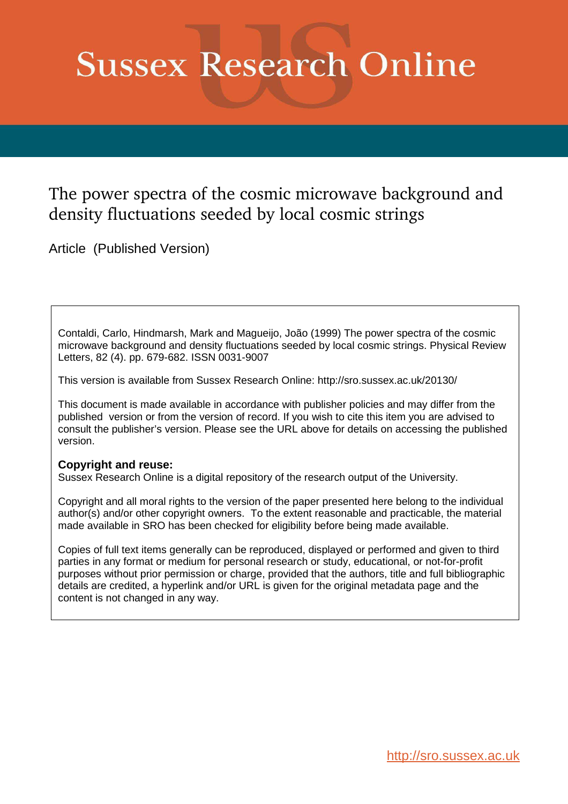## **Sussex Research Online**

## The power spectra of the cosmic microwave background and density fluctuations seeded by local cosmic strings

Article (Published Version)

Contaldi, Carlo, Hindmarsh, Mark and Magueijo, João (1999) The power spectra of the cosmic microwave background and density fluctuations seeded by local cosmic strings. Physical Review Letters, 82 (4). pp. 679-682. ISSN 0031-9007

This version is available from Sussex Research Online: http://sro.sussex.ac.uk/20130/

This document is made available in accordance with publisher policies and may differ from the published version or from the version of record. If you wish to cite this item you are advised to consult the publisher's version. Please see the URL above for details on accessing the published version.

## **Copyright and reuse:**

Sussex Research Online is a digital repository of the research output of the University.

Copyright and all moral rights to the version of the paper presented here belong to the individual author(s) and/or other copyright owners. To the extent reasonable and practicable, the material made available in SRO has been checked for eligibility before being made available.

Copies of full text items generally can be reproduced, displayed or performed and given to third parties in any format or medium for personal research or study, educational, or not-for-profit purposes without prior permission or charge, provided that the authors, title and full bibliographic details are credited, a hyperlink and/or URL is given for the original metadata page and the content is not changed in any way.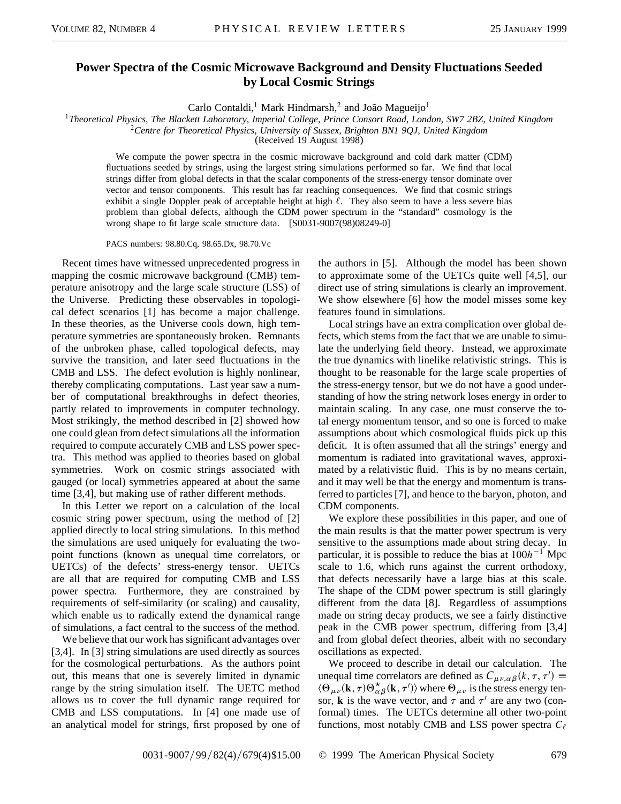## **Power Spectra of the Cosmic Microwave Background and Density Fluctuations Seeded by Local Cosmic Strings**

Carlo Contaldi,<sup>1</sup> Mark Hindmarsh,<sup>2</sup> and João Magueijo<sup>1</sup>

<sup>1</sup>*Theoretical Physics, The Blackett Laboratory, Imperial College, Prince Consort Road, London, SW7 2BZ, United Kingdom*

<sup>2</sup>*Centre for Theoretical Physics, University of Sussex, Brighton BN1 9QJ, United Kingdom*

(Received 19 August 1998)

We compute the power spectra in the cosmic microwave background and cold dark matter (CDM) fluctuations seeded by strings, using the largest string simulations performed so far. We find that local strings differ from global defects in that the scalar components of the stress-energy tensor dominate over vector and tensor components. This result has far reaching consequences. We find that cosmic strings exhibit a single Doppler peak of acceptable height at high  $\ell$ . They also seem to have a less severe bias problem than global defects, although the CDM power spectrum in the "standard" cosmology is the wrong shape to fit large scale structure data. [S0031-9007(98)08249-0]

PACS numbers: 98.80.Cq, 98.65.Dx, 98.70.Vc

Recent times have witnessed unprecedented progress in mapping the cosmic microwave background (CMB) temperature anisotropy and the large scale structure (LSS) of the Universe. Predicting these observables in topological defect scenarios [1] has become a major challenge. In these theories, as the Universe cools down, high temperature symmetries are spontaneously broken. Remnants of the unbroken phase, called topological defects, may survive the transition, and later seed fluctuations in the CMB and LSS. The defect evolution is highly nonlinear, thereby complicating computations. Last year saw a number of computational breakthroughs in defect theories, partly related to improvements in computer technology. Most strikingly, the method described in [2] showed how one could glean from defect simulations all the information required to compute accurately CMB and LSS power spectra. This method was applied to theories based on global symmetries. Work on cosmic strings associated with gauged (or local) symmetries appeared at about the same time [3,4], but making use of rather different methods.

In this Letter we report on a calculation of the local cosmic string power spectrum, using the method of [2] applied directly to local string simulations. In this method the simulations are used uniquely for evaluating the twopoint functions (known as unequal time correlators, or UETCs) of the defects' stress-energy tensor. UETCs are all that are required for computing CMB and LSS power spectra. Furthermore, they are constrained by requirements of self-similarity (or scaling) and causality, which enable us to radically extend the dynamical range of simulations, a fact central to the success of the method.

We believe that our work has significant advantages over [3,4]. In [3] string simulations are used directly as sources for the cosmological perturbations. As the authors point out, this means that one is severely limited in dynamic range by the string simulation itself. The UETC method allows us to cover the full dynamic range required for CMB and LSS computations. In [4] one made use of an analytical model for strings, first proposed by one of the authors in [5]. Although the model has been shown to approximate some of the UETCs quite well [4,5], our direct use of string simulations is clearly an improvement. We show elsewhere [6] how the model misses some key features found in simulations.

Local strings have an extra complication over global defects, which stems from the fact that we are unable to simulate the underlying field theory. Instead, we approximate the true dynamics with linelike relativistic strings. This is thought to be reasonable for the large scale properties of the stress-energy tensor, but we do not have a good understanding of how the string network loses energy in order to maintain scaling. In any case, one must conserve the total energy momentum tensor, and so one is forced to make assumptions about which cosmological fluids pick up this deficit. It is often assumed that all the strings' energy and momentum is radiated into gravitational waves, approximated by a relativistic fluid. This is by no means certain, and it may well be that the energy and momentum is transferred to particles [7], and hence to the baryon, photon, and CDM components.

We explore these possibilities in this paper, and one of the main results is that the matter power spectrum is very sensitive to the assumptions made about string decay. In particular, it is possible to reduce the bias at  $100h^{-1}$  Mpc scale to 1.6, which runs against the current orthodoxy, that defects necessarily have a large bias at this scale. The shape of the CDM power spectrum is still glaringly different from the data [8]. Regardless of assumptions made on string decay products, we see a fairly distinctive peak in the CMB power spectrum, differing from [3,4] and from global defect theories, albeit with no secondary oscillations as expected.

We proceed to describe in detail our calculation. The unequal time correlators are defined as  $C_{\mu\nu,\alpha\beta}(k,\tau,\tau') \equiv$  $\langle \Theta_{\mu\nu}({\bf k}, \tau) \Theta_{\alpha\beta}^*({\bf k}, \tau') \rangle$  where  $\Theta_{\mu\nu}$  is the stress energy tensor, **k** is the wave vector, and  $\tau$  and  $\tau'$  are any two (conformal) times. The UETCs determine all other two-point functions, most notably CMB and LSS power spectra  $C_{\ell}$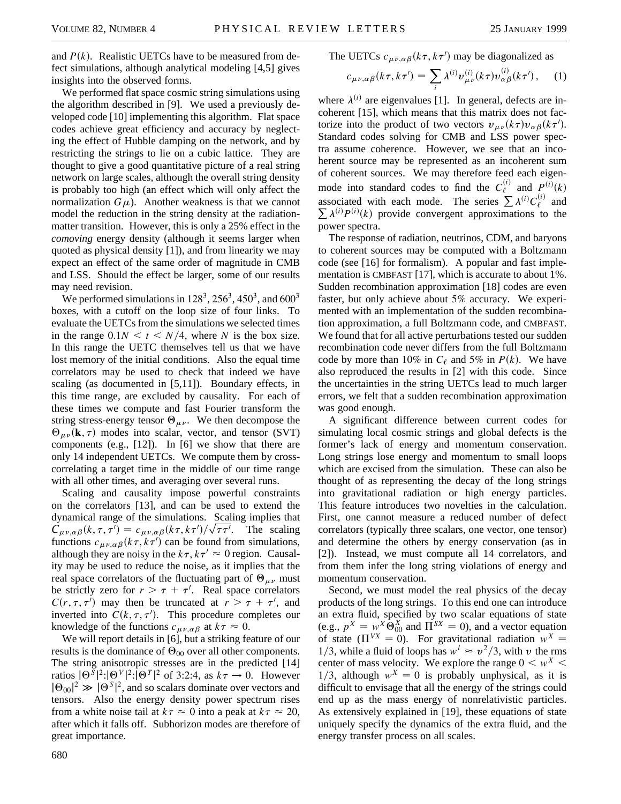and  $P(k)$ . Realistic UETCs have to be measured from defect simulations, although analytical modeling [4,5] gives insights into the observed forms.

We performed flat space cosmic string simulations using the algorithm described in [9]. We used a previously developed code [10] implementing this algorithm. Flat space codes achieve great efficiency and accuracy by neglecting the effect of Hubble damping on the network, and by restricting the strings to lie on a cubic lattice. They are thought to give a good quantitative picture of a real string network on large scales, although the overall string density is probably too high (an effect which will only affect the normalization  $G\mu$ ). Another weakness is that we cannot model the reduction in the string density at the radiationmatter transition. However, this is only a 25% effect in the *comoving* energy density (although it seems larger when quoted as physical density [1]), and from linearity we may expect an effect of the same order of magnitude in CMB and LSS. Should the effect be larger, some of our results may need revision.

We performed simulations in  $128^3$ ,  $256^3$ ,  $450^3$ , and  $600^3$ boxes, with a cutoff on the loop size of four links. To evaluate the UETCs from the simulations we selected times in the range  $0.1N \le t \le N/4$ , where *N* is the box size. In this range the UETC themselves tell us that we have lost memory of the initial conditions. Also the equal time correlators may be used to check that indeed we have scaling (as documented in [5,11]). Boundary effects, in this time range, are excluded by causality. For each of these times we compute and fast Fourier transform the string stress-energy tensor  $\Theta_{\mu\nu}$ . We then decompose the  $\Theta_{\mu\nu}(\mathbf{k}, \tau)$  modes into scalar, vector, and tensor (SVT) components (e.g., [12]). In [6] we show that there are only 14 independent UETCs. We compute them by crosscorrelating a target time in the middle of our time range with all other times, and averaging over several runs.

Scaling and causality impose powerful constraints on the correlators [13], and can be used to extend the dynamical range of the simulations. Scaling implies that  $C_{\mu\nu,\alpha\beta}(k,\tau,\tau') = c_{\mu\nu,\alpha\beta}(k\tau,k\tau')/\sqrt{\tau\tau'}$ . The scaling functions  $c_{\mu\nu,\alpha\beta}(k\tau, k\tau')$  can be found from simulations, although they are noisy in the  $k\tau$ ,  $k\tau' \approx 0$  region. Causality may be used to reduce the noise, as it implies that the real space correlators of the fluctuating part of  $\Theta_{\mu\nu}$  must be strictly zero for  $r > \tau + \tau'$ . Real space correlators  $C(r, \tau, \tau')$  may then be truncated at  $r > \tau + \tau'$ , and inverted into  $C(k, \tau, \tau')$ . This procedure completes our knowledge of the functions  $c_{\mu\nu,\alpha\beta}$  at  $k\tau \approx 0$ .

We will report details in [6], but a striking feature of our results is the dominance of  $\Theta_{00}$  over all other components. The string anisotropic stresses are in the predicted [14] ratios  $|\Theta^{\bar{S}}|^2$ : $|\Theta^{\gamma}|^2$ : $|\Theta^{\gamma}|^2$  of 3:2:4, as  $k\tau \to 0$ . However  $|\Theta_{00}|^2 \gg |\Theta^S|^2$ , and so scalars dominate over vectors and tensors. Also the energy density power spectrum rises from a white noise tail at  $k\tau \approx 0$  into a peak at  $k\tau \approx 20$ , after which it falls off. Subhorizon modes are therefore of great importance.

$$
c_{\mu\nu,\alpha\beta}(k\tau,k\tau')=\sum_i\lambda^{(i)}\nu_{\mu\nu}^{(i)}(k\tau)\nu_{\alpha\beta}^{(i)}(k\tau'),\quad (1)
$$

where  $\lambda^{(i)}$  are eigenvalues [1]. In general, defects are incoherent [15], which means that this matrix does not factorize into the product of two vectors  $v_{\mu\nu}(k\tau)v_{\alpha\beta}(k\tau')$ . Standard codes solving for CMB and LSS power spectra assume coherence. However, we see that an incoherent source may be represented as an incoherent sum of coherent sources. We may therefore feed each eigenmode into standard codes to find the  $C_{\ell}^{(i)}$  and  $P^{(i)}(k)$ associated with each mode. The series  $\sum_{i} \lambda^{(i)} C_{\ell}^{(i)}$  and  $\sum \lambda^{(i)} P^{(i)}(k)$  provide convergent approximations to the power spectra.

The response of radiation, neutrinos, CDM, and baryons to coherent sources may be computed with a Boltzmann code (see [16] for formalism). A popular and fast implementation is CMBFAST [17], which is accurate to about 1%. Sudden recombination approximation [18] codes are even faster, but only achieve about 5% accuracy. We experimented with an implementation of the sudden recombination approximation, a full Boltzmann code, and CMBFAST. We found that for all active perturbations tested our sudden recombination code never differs from the full Boltzmann code by more than 10% in  $C_{\ell}$  and 5% in  $P(k)$ . We have also reproduced the results in [2] with this code. Since the uncertainties in the string UETCs lead to much larger errors, we felt that a sudden recombination approximation was good enough.

A significant difference between current codes for simulating local cosmic strings and global defects is the former's lack of energy and momentum conservation. Long strings lose energy and momentum to small loops which are excised from the simulation. These can also be thought of as representing the decay of the long strings into gravitational radiation or high energy particles. This feature introduces two novelties in the calculation. First, one cannot measure a reduced number of defect correlators (typically three scalars, one vector, one tensor) and determine the others by energy conservation (as in [2]). Instead, we must compute all 14 correlators, and from them infer the long string violations of energy and momentum conservation.

Second, we must model the real physics of the decay products of the long strings. To this end one can introduce an extra fluid, specified by two scalar equations of state (e.g.,  $p^X = w^X \Theta_{00}^X$  and  $\Pi^{SX} = 0$ ), and a vector equation of state  $(\Pi^{VX} = 0)$ . For gravitational radiation  $w^X =$ 1/3, while a fluid of loops has  $w^l \approx v^2/3$ , with v the rms center of mass velocity. We explore the range  $0 \lt w^X$ 1/3, although  $w^X = 0$  is probably unphysical, as it is difficult to envisage that all the energy of the strings could end up as the mass energy of nonrelativistic particles. As extensively explained in [19], these equations of state uniquely specify the dynamics of the extra fluid, and the energy transfer process on all scales.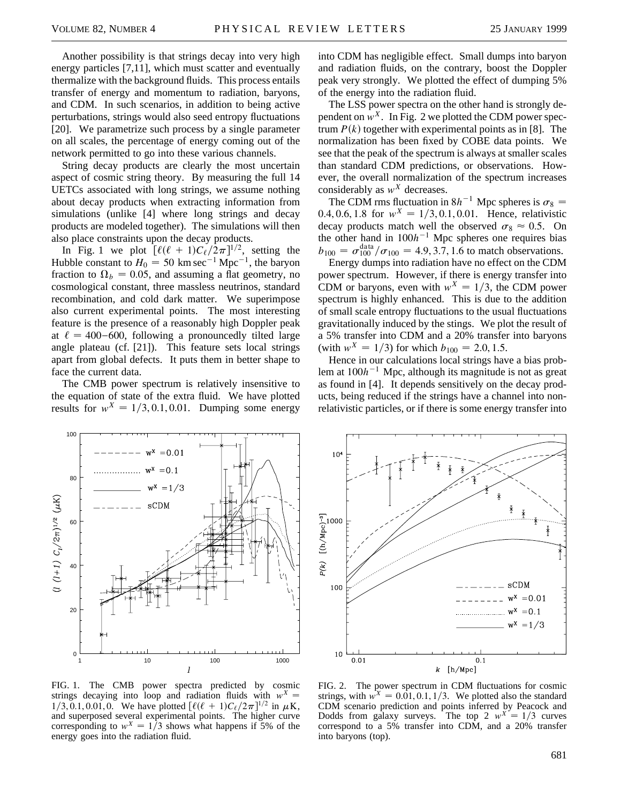Another possibility is that strings decay into very high energy particles [7,11], which must scatter and eventually thermalize with the background fluids. This process entails transfer of energy and momentum to radiation, baryons, and CDM. In such scenarios, in addition to being active perturbations, strings would also seed entropy fluctuations [20]. We parametrize such process by a single parameter on all scales, the percentage of energy coming out of the network permitted to go into these various channels.

String decay products are clearly the most uncertain aspect of cosmic string theory. By measuring the full 14 UETCs associated with long strings, we assume nothing about decay products when extracting information from simulations (unlike [4] where long strings and decay products are modeled together). The simulations will then also place constraints upon the decay products.

In Fig. 1 we plot  $\left[\ell(\ell+1)C_{\ell}/2\pi\right]^{1/2}$ , setting the Hubble constant to  $H_0 = 50$  km sec<sup>-1</sup> Mpc<sup>-1</sup>, the baryon fraction to  $\Omega_b = 0.05$ , and assuming a flat geometry, no cosmological constant, three massless neutrinos, standard recombination, and cold dark matter. We superimpose also current experimental points. The most interesting feature is the presence of a reasonably high Doppler peak at  $\ell = 400 - 600$ , following a pronouncedly tilted large angle plateau (cf. [21]). This feature sets local strings apart from global defects. It puts them in better shape to face the current data.

The CMB power spectrum is relatively insensitive to the equation of state of the extra fluid. We have plotted results for  $w^X = 1/3, 0.1, 0.01$ . Dumping some energy

into CDM has negligible effect. Small dumps into baryon and radiation fluids, on the contrary, boost the Doppler peak very strongly. We plotted the effect of dumping 5% of the energy into the radiation fluid.

The LSS power spectra on the other hand is strongly dependent on  $w^X$ . In Fig. 2 we plotted the CDM power spectrum  $P(k)$  together with experimental points as in [8]. The normalization has been fixed by COBE data points. We see that the peak of the spectrum is always at smaller scales than standard CDM predictions, or observations. However, the overall normalization of the spectrum increases considerably as  $w^X$  decreases.

The CDM rms fluctuation in  $8h^{-1}$  Mpc spheres is  $\sigma_8 =$ 0.4, 0.6, 1.8 for  $w^X = 1/3, 0.1, 0.01$ . Hence, relativistic decay products match well the observed  $\sigma_8 \approx 0.5$ . On the other hand in  $100h^{-1}$  Mpc spheres one requires bias  $b_{100} = \sigma_{100}^{\text{data}} / \sigma_{100} = 4.9, 3.7, 1.6$  to match observations.

Energy dumps into radiation have no effect on the CDM power spectrum. However, if there is energy transfer into CDM or baryons, even with  $w^X = 1/3$ , the CDM power spectrum is highly enhanced. This is due to the addition of small scale entropy fluctuations to the usual fluctuations gravitationally induced by the stings. We plot the result of a 5% transfer into CDM and a 20% transfer into baryons (with  $w^X = 1/3$ ) for which  $b_{100} = 2.0, 1.5$ .

Hence in our calculations local strings have a bias problem at  $100h^{-1}$  Mpc, although its magnitude is not as great as found in [4]. It depends sensitively on the decay products, being reduced if the strings have a channel into nonrelativistic particles, or if there is some energy transfer into



 $10<sup>4</sup>$  $\bar{\ast}$ ¥  $P(k)$   $[(h/Mpc)^{-9}]$ ∤ sCDM 100  $w^x = 0.01$  $w^x = 0.1$  $w^x = 1/3$ 10  $0.01$  $0.1$  $k$  [h/Mpc]

FIG. 1. The CMB power spectra predicted by cosmic strings decaying into loop and radiation fluids with  $w^X$  =  $1/3, 0.1, 0.01, 0$ . We have plotted  $\left[\ell(\ell + 1)C_{\ell}/2\pi\right]^{1/2}$  in  $\mu$ K, and superposed several experimental points. The higher curve corresponding to  $w^X = 1/3$  shows what happens if 5% of the energy goes into the radiation fluid.

FIG. 2. The power spectrum in CDM fluctuations for cosmic strings, with  $w^X = 0.01, 0.1, 1/3$ . We plotted also the standard CDM scenario prediction and points inferred by Peacock and Dodds from galaxy surveys. The top 2  $w^{\overline{X}} = 1/3$  curves correspond to a 5% transfer into CDM, and a 20% transfer into baryons (top).